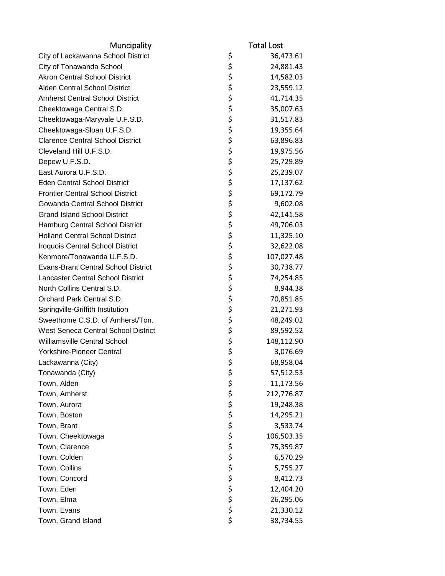| \$<br>City of Lackawanna School District<br>36,473.61<br>\$<br>City of Tonawanda School<br>24,881.43<br>\$<br><b>Akron Central School District</b><br>14,582.03<br>\$<br>Alden Central School District<br>23,559.12<br>\$<br><b>Amherst Central School District</b><br>41,714.35<br>\$<br>Cheektowaga Central S.D.<br>35,007.63<br>\$<br>Cheektowaga-Maryvale U.F.S.D.<br>31,517.83<br>\$<br>Cheektowaga-Sloan U.F.S.D.<br>19,355.64<br>\$<br><b>Clarence Central School District</b><br>63,896.83<br>\$<br>Cleveland Hill U.F.S.D.<br>19,975.56<br>\$<br>Depew U.F.S.D.<br>25,729.89<br>\$<br>East Aurora U.F.S.D.<br>25,239.07<br>\$<br><b>Eden Central School District</b><br>17,137.62<br>\$<br><b>Frontier Central School District</b><br>69,172.79<br>\$<br>Gowanda Central School District<br>9,602.08<br>\$<br><b>Grand Island School District</b><br>42,141.58<br>\$<br>Hamburg Central School District<br>49,706.03<br>\$<br><b>Holland Central School District</b><br>11,325.10<br>\$<br>Iroquois Central School District<br>32,622.08<br>\$<br>Kenmore/Tonawanda U.F.S.D.<br>107,027.48<br>\$<br>\$<br><b>Evans-Brant Central School District</b><br>30,738.77<br><b>Lancaster Central School District</b><br>74,254.85<br>\$<br>North Collins Central S.D.<br>8,944.38<br>\$<br>Orchard Park Central S.D.<br>70,851.85<br>\$<br>Springville-Griffith Institution<br>21,271.93<br>\$<br>Sweethome C.S.D. of Amherst/Ton.<br>48,249.02<br>\$<br>West Seneca Central School District<br>89,592.52<br>\$<br><b>Williamsville Central School</b><br>148,112.90<br>\$<br>Yorkshire-Pioneer Central<br>3,076.69<br>\$<br>Lackawanna (City)<br>68,958.04<br>\$<br>Tonawanda (City)<br>57,512.53<br>ぐぐみ<br>Town, Alden<br>11,173.56<br>212,776.87<br>Town, Amherst<br>19,248.38<br>Town, Aurora |
|-----------------------------------------------------------------------------------------------------------------------------------------------------------------------------------------------------------------------------------------------------------------------------------------------------------------------------------------------------------------------------------------------------------------------------------------------------------------------------------------------------------------------------------------------------------------------------------------------------------------------------------------------------------------------------------------------------------------------------------------------------------------------------------------------------------------------------------------------------------------------------------------------------------------------------------------------------------------------------------------------------------------------------------------------------------------------------------------------------------------------------------------------------------------------------------------------------------------------------------------------------------------------------------------------------------------------------------------------------------------------------------------------------------------------------------------------------------------------------------------------------------------------------------------------------------------------------------------------------------------------------------------------------------------------------------------------------------------------------------------------------------------------------------------------------|
|                                                                                                                                                                                                                                                                                                                                                                                                                                                                                                                                                                                                                                                                                                                                                                                                                                                                                                                                                                                                                                                                                                                                                                                                                                                                                                                                                                                                                                                                                                                                                                                                                                                                                                                                                                                                     |
|                                                                                                                                                                                                                                                                                                                                                                                                                                                                                                                                                                                                                                                                                                                                                                                                                                                                                                                                                                                                                                                                                                                                                                                                                                                                                                                                                                                                                                                                                                                                                                                                                                                                                                                                                                                                     |
|                                                                                                                                                                                                                                                                                                                                                                                                                                                                                                                                                                                                                                                                                                                                                                                                                                                                                                                                                                                                                                                                                                                                                                                                                                                                                                                                                                                                                                                                                                                                                                                                                                                                                                                                                                                                     |
|                                                                                                                                                                                                                                                                                                                                                                                                                                                                                                                                                                                                                                                                                                                                                                                                                                                                                                                                                                                                                                                                                                                                                                                                                                                                                                                                                                                                                                                                                                                                                                                                                                                                                                                                                                                                     |
|                                                                                                                                                                                                                                                                                                                                                                                                                                                                                                                                                                                                                                                                                                                                                                                                                                                                                                                                                                                                                                                                                                                                                                                                                                                                                                                                                                                                                                                                                                                                                                                                                                                                                                                                                                                                     |
|                                                                                                                                                                                                                                                                                                                                                                                                                                                                                                                                                                                                                                                                                                                                                                                                                                                                                                                                                                                                                                                                                                                                                                                                                                                                                                                                                                                                                                                                                                                                                                                                                                                                                                                                                                                                     |
|                                                                                                                                                                                                                                                                                                                                                                                                                                                                                                                                                                                                                                                                                                                                                                                                                                                                                                                                                                                                                                                                                                                                                                                                                                                                                                                                                                                                                                                                                                                                                                                                                                                                                                                                                                                                     |
|                                                                                                                                                                                                                                                                                                                                                                                                                                                                                                                                                                                                                                                                                                                                                                                                                                                                                                                                                                                                                                                                                                                                                                                                                                                                                                                                                                                                                                                                                                                                                                                                                                                                                                                                                                                                     |
|                                                                                                                                                                                                                                                                                                                                                                                                                                                                                                                                                                                                                                                                                                                                                                                                                                                                                                                                                                                                                                                                                                                                                                                                                                                                                                                                                                                                                                                                                                                                                                                                                                                                                                                                                                                                     |
|                                                                                                                                                                                                                                                                                                                                                                                                                                                                                                                                                                                                                                                                                                                                                                                                                                                                                                                                                                                                                                                                                                                                                                                                                                                                                                                                                                                                                                                                                                                                                                                                                                                                                                                                                                                                     |
|                                                                                                                                                                                                                                                                                                                                                                                                                                                                                                                                                                                                                                                                                                                                                                                                                                                                                                                                                                                                                                                                                                                                                                                                                                                                                                                                                                                                                                                                                                                                                                                                                                                                                                                                                                                                     |
|                                                                                                                                                                                                                                                                                                                                                                                                                                                                                                                                                                                                                                                                                                                                                                                                                                                                                                                                                                                                                                                                                                                                                                                                                                                                                                                                                                                                                                                                                                                                                                                                                                                                                                                                                                                                     |
|                                                                                                                                                                                                                                                                                                                                                                                                                                                                                                                                                                                                                                                                                                                                                                                                                                                                                                                                                                                                                                                                                                                                                                                                                                                                                                                                                                                                                                                                                                                                                                                                                                                                                                                                                                                                     |
|                                                                                                                                                                                                                                                                                                                                                                                                                                                                                                                                                                                                                                                                                                                                                                                                                                                                                                                                                                                                                                                                                                                                                                                                                                                                                                                                                                                                                                                                                                                                                                                                                                                                                                                                                                                                     |
|                                                                                                                                                                                                                                                                                                                                                                                                                                                                                                                                                                                                                                                                                                                                                                                                                                                                                                                                                                                                                                                                                                                                                                                                                                                                                                                                                                                                                                                                                                                                                                                                                                                                                                                                                                                                     |
|                                                                                                                                                                                                                                                                                                                                                                                                                                                                                                                                                                                                                                                                                                                                                                                                                                                                                                                                                                                                                                                                                                                                                                                                                                                                                                                                                                                                                                                                                                                                                                                                                                                                                                                                                                                                     |
|                                                                                                                                                                                                                                                                                                                                                                                                                                                                                                                                                                                                                                                                                                                                                                                                                                                                                                                                                                                                                                                                                                                                                                                                                                                                                                                                                                                                                                                                                                                                                                                                                                                                                                                                                                                                     |
|                                                                                                                                                                                                                                                                                                                                                                                                                                                                                                                                                                                                                                                                                                                                                                                                                                                                                                                                                                                                                                                                                                                                                                                                                                                                                                                                                                                                                                                                                                                                                                                                                                                                                                                                                                                                     |
|                                                                                                                                                                                                                                                                                                                                                                                                                                                                                                                                                                                                                                                                                                                                                                                                                                                                                                                                                                                                                                                                                                                                                                                                                                                                                                                                                                                                                                                                                                                                                                                                                                                                                                                                                                                                     |
|                                                                                                                                                                                                                                                                                                                                                                                                                                                                                                                                                                                                                                                                                                                                                                                                                                                                                                                                                                                                                                                                                                                                                                                                                                                                                                                                                                                                                                                                                                                                                                                                                                                                                                                                                                                                     |
|                                                                                                                                                                                                                                                                                                                                                                                                                                                                                                                                                                                                                                                                                                                                                                                                                                                                                                                                                                                                                                                                                                                                                                                                                                                                                                                                                                                                                                                                                                                                                                                                                                                                                                                                                                                                     |
|                                                                                                                                                                                                                                                                                                                                                                                                                                                                                                                                                                                                                                                                                                                                                                                                                                                                                                                                                                                                                                                                                                                                                                                                                                                                                                                                                                                                                                                                                                                                                                                                                                                                                                                                                                                                     |
|                                                                                                                                                                                                                                                                                                                                                                                                                                                                                                                                                                                                                                                                                                                                                                                                                                                                                                                                                                                                                                                                                                                                                                                                                                                                                                                                                                                                                                                                                                                                                                                                                                                                                                                                                                                                     |
|                                                                                                                                                                                                                                                                                                                                                                                                                                                                                                                                                                                                                                                                                                                                                                                                                                                                                                                                                                                                                                                                                                                                                                                                                                                                                                                                                                                                                                                                                                                                                                                                                                                                                                                                                                                                     |
|                                                                                                                                                                                                                                                                                                                                                                                                                                                                                                                                                                                                                                                                                                                                                                                                                                                                                                                                                                                                                                                                                                                                                                                                                                                                                                                                                                                                                                                                                                                                                                                                                                                                                                                                                                                                     |
|                                                                                                                                                                                                                                                                                                                                                                                                                                                                                                                                                                                                                                                                                                                                                                                                                                                                                                                                                                                                                                                                                                                                                                                                                                                                                                                                                                                                                                                                                                                                                                                                                                                                                                                                                                                                     |
|                                                                                                                                                                                                                                                                                                                                                                                                                                                                                                                                                                                                                                                                                                                                                                                                                                                                                                                                                                                                                                                                                                                                                                                                                                                                                                                                                                                                                                                                                                                                                                                                                                                                                                                                                                                                     |
|                                                                                                                                                                                                                                                                                                                                                                                                                                                                                                                                                                                                                                                                                                                                                                                                                                                                                                                                                                                                                                                                                                                                                                                                                                                                                                                                                                                                                                                                                                                                                                                                                                                                                                                                                                                                     |
|                                                                                                                                                                                                                                                                                                                                                                                                                                                                                                                                                                                                                                                                                                                                                                                                                                                                                                                                                                                                                                                                                                                                                                                                                                                                                                                                                                                                                                                                                                                                                                                                                                                                                                                                                                                                     |
|                                                                                                                                                                                                                                                                                                                                                                                                                                                                                                                                                                                                                                                                                                                                                                                                                                                                                                                                                                                                                                                                                                                                                                                                                                                                                                                                                                                                                                                                                                                                                                                                                                                                                                                                                                                                     |
|                                                                                                                                                                                                                                                                                                                                                                                                                                                                                                                                                                                                                                                                                                                                                                                                                                                                                                                                                                                                                                                                                                                                                                                                                                                                                                                                                                                                                                                                                                                                                                                                                                                                                                                                                                                                     |
|                                                                                                                                                                                                                                                                                                                                                                                                                                                                                                                                                                                                                                                                                                                                                                                                                                                                                                                                                                                                                                                                                                                                                                                                                                                                                                                                                                                                                                                                                                                                                                                                                                                                                                                                                                                                     |
|                                                                                                                                                                                                                                                                                                                                                                                                                                                                                                                                                                                                                                                                                                                                                                                                                                                                                                                                                                                                                                                                                                                                                                                                                                                                                                                                                                                                                                                                                                                                                                                                                                                                                                                                                                                                     |
|                                                                                                                                                                                                                                                                                                                                                                                                                                                                                                                                                                                                                                                                                                                                                                                                                                                                                                                                                                                                                                                                                                                                                                                                                                                                                                                                                                                                                                                                                                                                                                                                                                                                                                                                                                                                     |
| Town, Boston<br>14,295.21                                                                                                                                                                                                                                                                                                                                                                                                                                                                                                                                                                                                                                                                                                                                                                                                                                                                                                                                                                                                                                                                                                                                                                                                                                                                                                                                                                                                                                                                                                                                                                                                                                                                                                                                                                           |
| Town, Brant<br>3,533.74                                                                                                                                                                                                                                                                                                                                                                                                                                                                                                                                                                                                                                                                                                                                                                                                                                                                                                                                                                                                                                                                                                                                                                                                                                                                                                                                                                                                                                                                                                                                                                                                                                                                                                                                                                             |
| Town, Cheektowaga<br>106,503.35                                                                                                                                                                                                                                                                                                                                                                                                                                                                                                                                                                                                                                                                                                                                                                                                                                                                                                                                                                                                                                                                                                                                                                                                                                                                                                                                                                                                                                                                                                                                                                                                                                                                                                                                                                     |
| ぐぐらか<br>Town, Clarence<br>75,359.87                                                                                                                                                                                                                                                                                                                                                                                                                                                                                                                                                                                                                                                                                                                                                                                                                                                                                                                                                                                                                                                                                                                                                                                                                                                                                                                                                                                                                                                                                                                                                                                                                                                                                                                                                                 |
| Town, Colden<br>6,570.29                                                                                                                                                                                                                                                                                                                                                                                                                                                                                                                                                                                                                                                                                                                                                                                                                                                                                                                                                                                                                                                                                                                                                                                                                                                                                                                                                                                                                                                                                                                                                                                                                                                                                                                                                                            |
| 5,755.27<br>Town, Collins                                                                                                                                                                                                                                                                                                                                                                                                                                                                                                                                                                                                                                                                                                                                                                                                                                                                                                                                                                                                                                                                                                                                                                                                                                                                                                                                                                                                                                                                                                                                                                                                                                                                                                                                                                           |
| Town, Concord<br>8,412.73                                                                                                                                                                                                                                                                                                                                                                                                                                                                                                                                                                                                                                                                                                                                                                                                                                                                                                                                                                                                                                                                                                                                                                                                                                                                                                                                                                                                                                                                                                                                                                                                                                                                                                                                                                           |
| Town, Eden<br>12,404.20                                                                                                                                                                                                                                                                                                                                                                                                                                                                                                                                                                                                                                                                                                                                                                                                                                                                                                                                                                                                                                                                                                                                                                                                                                                                                                                                                                                                                                                                                                                                                                                                                                                                                                                                                                             |
| Town, Elma<br>26,295.06                                                                                                                                                                                                                                                                                                                                                                                                                                                                                                                                                                                                                                                                                                                                                                                                                                                                                                                                                                                                                                                                                                                                                                                                                                                                                                                                                                                                                                                                                                                                                                                                                                                                                                                                                                             |
| \$<br>\$<br>Town, Evans<br>21,330.12                                                                                                                                                                                                                                                                                                                                                                                                                                                                                                                                                                                                                                                                                                                                                                                                                                                                                                                                                                                                                                                                                                                                                                                                                                                                                                                                                                                                                                                                                                                                                                                                                                                                                                                                                                |
| \$<br>Town, Grand Island<br>38,734.55                                                                                                                                                                                                                                                                                                                                                                                                                                                                                                                                                                                                                                                                                                                                                                                                                                                                                                                                                                                                                                                                                                                                                                                                                                                                                                                                                                                                                                                                                                                                                                                                                                                                                                                                                               |